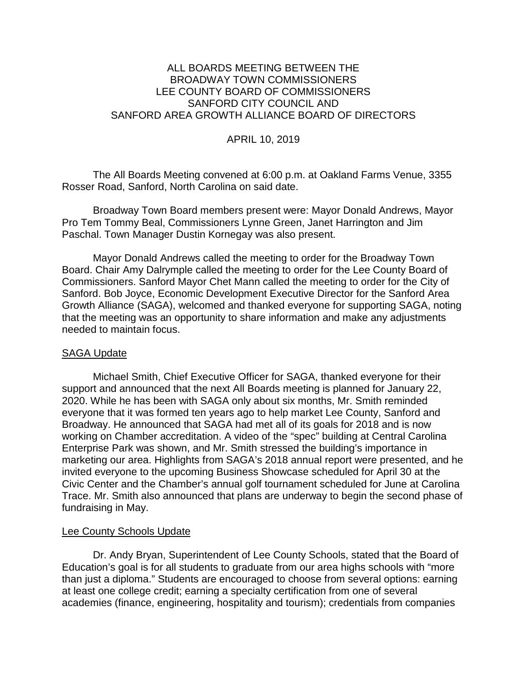# ALL BOARDS MEETING BETWEEN THE BROADWAY TOWN COMMISSIONERS LEE COUNTY BOARD OF COMMISSIONERS SANFORD CITY COUNCIL AND SANFORD AREA GROWTH ALLIANCE BOARD OF DIRECTORS

# APRIL 10, 2019

The All Boards Meeting convened at 6:00 p.m. at Oakland Farms Venue, 3355 Rosser Road, Sanford, North Carolina on said date.

Broadway Town Board members present were: Mayor Donald Andrews, Mayor Pro Tem Tommy Beal, Commissioners Lynne Green, Janet Harrington and Jim Paschal. Town Manager Dustin Kornegay was also present.

Mayor Donald Andrews called the meeting to order for the Broadway Town Board. Chair Amy Dalrymple called the meeting to order for the Lee County Board of Commissioners. Sanford Mayor Chet Mann called the meeting to order for the City of Sanford. Bob Joyce, Economic Development Executive Director for the Sanford Area Growth Alliance (SAGA), welcomed and thanked everyone for supporting SAGA, noting that the meeting was an opportunity to share information and make any adjustments needed to maintain focus.

### SAGA Update

Michael Smith, Chief Executive Officer for SAGA, thanked everyone for their support and announced that the next All Boards meeting is planned for January 22, 2020. While he has been with SAGA only about six months, Mr. Smith reminded everyone that it was formed ten years ago to help market Lee County, Sanford and Broadway. He announced that SAGA had met all of its goals for 2018 and is now working on Chamber accreditation. A video of the "spec" building at Central Carolina Enterprise Park was shown, and Mr. Smith stressed the building's importance in marketing our area. Highlights from SAGA's 2018 annual report were presented, and he invited everyone to the upcoming Business Showcase scheduled for April 30 at the Civic Center and the Chamber's annual golf tournament scheduled for June at Carolina Trace. Mr. Smith also announced that plans are underway to begin the second phase of fundraising in May.

### Lee County Schools Update

Dr. Andy Bryan, Superintendent of Lee County Schools, stated that the Board of Education's goal is for all students to graduate from our area highs schools with "more than just a diploma." Students are encouraged to choose from several options: earning at least one college credit; earning a specialty certification from one of several academies (finance, engineering, hospitality and tourism); credentials from companies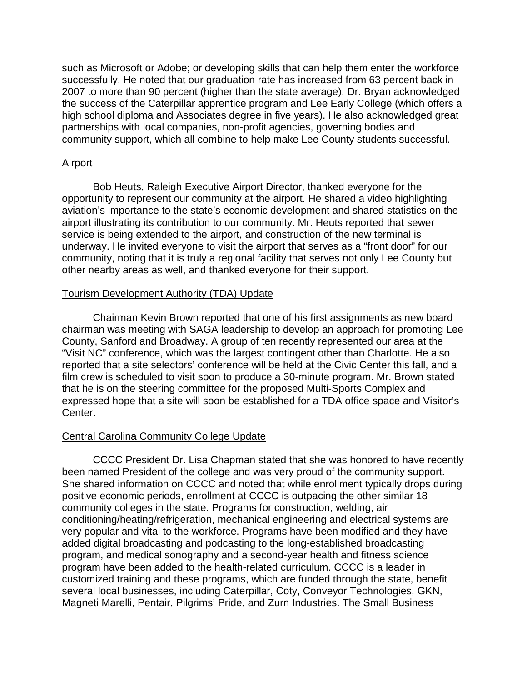such as Microsoft or Adobe; or developing skills that can help them enter the workforce successfully. He noted that our graduation rate has increased from 63 percent back in 2007 to more than 90 percent (higher than the state average). Dr. Bryan acknowledged the success of the Caterpillar apprentice program and Lee Early College (which offers a high school diploma and Associates degree in five years). He also acknowledged great partnerships with local companies, non-profit agencies, governing bodies and community support, which all combine to help make Lee County students successful.

### Airport

Bob Heuts, Raleigh Executive Airport Director, thanked everyone for the opportunity to represent our community at the airport. He shared a video highlighting aviation's importance to the state's economic development and shared statistics on the airport illustrating its contribution to our community. Mr. Heuts reported that sewer service is being extended to the airport, and construction of the new terminal is underway. He invited everyone to visit the airport that serves as a "front door" for our community, noting that it is truly a regional facility that serves not only Lee County but other nearby areas as well, and thanked everyone for their support.

### Tourism Development Authority (TDA) Update

Chairman Kevin Brown reported that one of his first assignments as new board chairman was meeting with SAGA leadership to develop an approach for promoting Lee County, Sanford and Broadway. A group of ten recently represented our area at the "Visit NC" conference, which was the largest contingent other than Charlotte. He also reported that a site selectors' conference will be held at the Civic Center this fall, and a film crew is scheduled to visit soon to produce a 30-minute program. Mr. Brown stated that he is on the steering committee for the proposed Multi-Sports Complex and expressed hope that a site will soon be established for a TDA office space and Visitor's Center.

#### Central Carolina Community College Update

CCCC President Dr. Lisa Chapman stated that she was honored to have recently been named President of the college and was very proud of the community support. She shared information on CCCC and noted that while enrollment typically drops during positive economic periods, enrollment at CCCC is outpacing the other similar 18 community colleges in the state. Programs for construction, welding, air conditioning/heating/refrigeration, mechanical engineering and electrical systems are very popular and vital to the workforce. Programs have been modified and they have added digital broadcasting and podcasting to the long-established broadcasting program, and medical sonography and a second-year health and fitness science program have been added to the health-related curriculum. CCCC is a leader in customized training and these programs, which are funded through the state, benefit several local businesses, including Caterpillar, Coty, Conveyor Technologies, GKN, Magneti Marelli, Pentair, Pilgrims' Pride, and Zurn Industries. The Small Business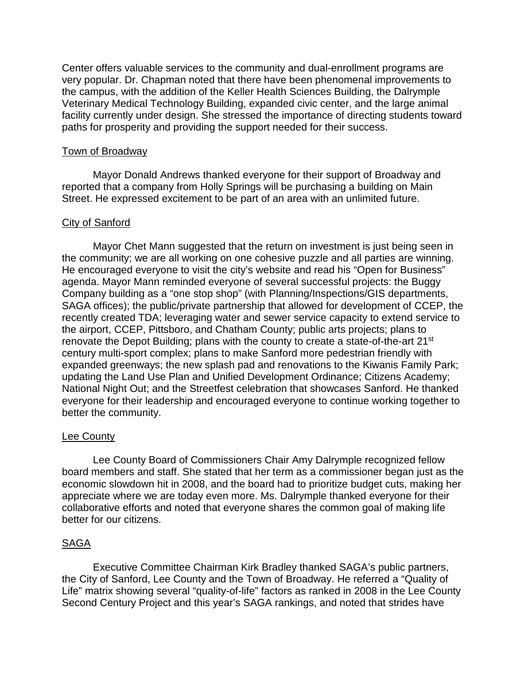Center offers valuable services to the community and dual-enrollment programs are very popular. Dr. Chapman noted that there have been phenomenal improvements to the campus, with the addition of the Keller Health Sciences Building, the Dalrymple Veterinary Medical Technology Building, expanded civic center, and the large animal facility currently under design. She stressed the importance of directing students toward paths for prosperity and providing the support needed for their success.

#### Town of Broadway

Mayor Donald Andrews thanked everyone for their support of Broadway and reported that a company from Holly Springs will be purchasing a building on Main Street. He expressed excitement to be part of an area with an unlimited future.

### City of Sanford

Mayor Chet Mann suggested that the return on investment is just being seen in the community; we are all working on one cohesive puzzle and all parties are winning. He encouraged everyone to visit the city's website and read his "Open for Business" agenda. Mayor Mann reminded everyone of several successful projects: the Buggy Company building as a "one stop shop" (with Planning/Inspections/GIS departments, SAGA offices); the public/private partnership that allowed for development of CCEP, the recently created TDA; leveraging water and sewer service capacity to extend service to the airport, CCEP, Pittsboro, and Chatham County; public arts projects; plans to renovate the Depot Building; plans with the county to create a state-of-the-art 21<sup>st</sup> century multi-sport complex; plans to make Sanford more pedestrian friendly with expanded greenways; the new splash pad and renovations to the Kiwanis Family Park; updating the Land Use Plan and Unified Development Ordinance; Citizens Academy; National Night Out; and the Streetfest celebration that showcases Sanford. He thanked everyone for their leadership and encouraged everyone to continue working together to better the community.

### Lee County

Lee County Board of Commissioners Chair Amy Dalrymple recognized fellow board members and staff. She stated that her term as a commissioner began just as the economic slowdown hit in 2008, and the board had to prioritize budget cuts, making her appreciate where we are today even more. Ms. Dalrymple thanked everyone for their collaborative efforts and noted that everyone shares the common goal of making life better for our citizens.

### SAGA

Executive Committee Chairman Kirk Bradley thanked SAGA's public partners, the City of Sanford, Lee County and the Town of Broadway. He referred a "Quality of Life" matrix showing several "quality-of-life" factors as ranked in 2008 in the Lee County Second Century Project and this year's SAGA rankings, and noted that strides have